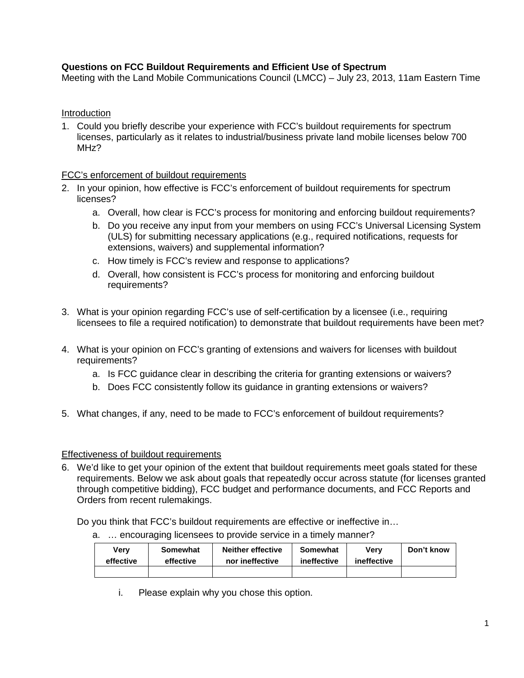# **Questions on FCC Buildout Requirements and Efficient Use of Spectrum**

Meeting with the Land Mobile Communications Council (LMCC) – July 23, 2013, 11am Eastern Time

## Introduction

1. Could you briefly describe your experience with FCC's buildout requirements for spectrum licenses, particularly as it relates to industrial/business private land mobile licenses below 700 MHz?

## FCC's enforcement of buildout requirements

- 2. In your opinion, how effective is FCC's enforcement of buildout requirements for spectrum licenses?
	- a. Overall, how clear is FCC's process for monitoring and enforcing buildout requirements?
	- b. Do you receive any input from your members on using FCC's Universal Licensing System (ULS) for submitting necessary applications (e.g., required notifications, requests for extensions, waivers) and supplemental information?
	- c. How timely is FCC's review and response to applications?
	- d. Overall, how consistent is FCC's process for monitoring and enforcing buildout requirements?
- 3. What is your opinion regarding FCC's use of self-certification by a licensee (i.e., requiring licensees to file a required notification) to demonstrate that buildout requirements have been met?
- 4. What is your opinion on FCC's granting of extensions and waivers for licenses with buildout requirements?
	- a. Is FCC guidance clear in describing the criteria for granting extensions or waivers?
	- b. Does FCC consistently follow its guidance in granting extensions or waivers?
- 5. What changes, if any, need to be made to FCC's enforcement of buildout requirements?

#### Effectiveness of buildout requirements

6. We'd like to get your opinion of the extent that buildout requirements meet goals stated for these requirements. Below we ask about goals that repeatedly occur across statute (for licenses granted through competitive bidding), FCC budget and performance documents, and FCC Reports and Orders from recent rulemakings.

Do you think that FCC's buildout requirements are effective or ineffective in…

| Verv      | Somewhat  | <b>Neither effective</b> | Somewhat    | Verv        | Don't know |
|-----------|-----------|--------------------------|-------------|-------------|------------|
| effective | effective | nor ineffective          | ineffective | ineffective |            |
|           |           |                          |             |             |            |

- a. … encouraging licensees to provide service in a timely manner?
	- i. Please explain why you chose this option.